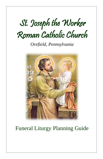# St. Joseph the Worker Roman Catholic Church

*Orefield, Pennsylvania*



# Funeral Liturgy Planning Guide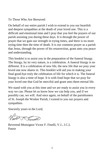To Those Who Are Bereaved:

On behalf of our entire parish I wish to extend to you our heartfelt and deepest sympathies at the death of your loved one. This is a difficult and emotional time and I pray that you feel the prayers of our parish assisting you during these days. It is through the power of prayer that we gain our strength in trying times, and there is no more trying time then the time of death. It is our common prayer as a parish that Jesus, through the power of his resurrection, grant unto you peace and understanding.

This booklet is to assist you in the preparation of the funeral liturgy. The liturgy, by its very nature, is a celebration. A funeral liturgy is no different. It is a celebration of new life, the new life that we pray your loved one now shares in. This booklet will aid you in making your final good-bye truly the celebration of life for which it is. The funeral liturgy is also a time of hope. It is with fond hope that we pray for your loved one that God be merciful and grant unto them eternal life.

We stand with you at this time and we are ready to assist you in every way we can. Please let us know how we can help you, and if we possibly can, we will. And once again, on behalf of the parishioners of St. Joseph the Worker Parish, I extend to you our prayers and sympathies.

Sincerely yours in the Lord,

D K Smooth

Reverend Monsignor Victor F. Finelli, V.J., J.C.L Pastor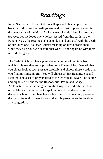# *Readings*

In the Sacred Scriptures, God himself speaks to his people. It is because of this that the readings are held in great importance within the celebration of the Mass. As Jesus wept for his friend Lazarus, we too weep for the loved one who has passed from this earth. In the Funeral Mass, the readings help us understand and deal with the death of our loved one. We hear Christ's meaning on death proclaimed while they also nourish our faith that we will once again be with them in God's kingdom.

The Catholic Church has a pre-selected number of readings from which to choose that are appropriate for a Funeral Mass. We ask that you please look at each passage carefully and choose those words that you find most meaningful. You will choose a First Reading, Second Reading, and a set of prayers used as the Universal Prayer. The cantor and organist will choose the Responsorial Psalm and Gospel Acclamation, which is sung before the Gospel is read. The celebrant of the Mass will choose the Gospel reading. If the deceased or the deceased's family members have a favorite Gospel reading, please let the parish funeral planner know so that it is passed onto the celebrant as a suggestion.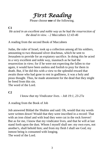*First Reading* 

Please choose **one** of the following.

**C1**

*He acted in an excellent and noble way as he had the resurrection of the dead in view. - 2 Maccabees 12:43-46*

A reading from the second Book of Maccabees

Judas, the ruler of Israel, took up a collection among all his soldiers, amounting to two thousand silver drachmas, which he sent to Jerusalem to provide for an expiatory sacrifice. In doing this he acted in a very excellent and noble way, inasmuch as he had the resurrection in view; for if he were not expecting the fallen to rise again, it would have been useless and foolish to pray for them in death. But, if he did this with a view to the splendid reward that awaits those who had gone to rest in godliness, it was a holy and pious thought. Thus, he made atonement for the dead that they might be freed from this sin.

The word of the Lord.

#### **C2**

*I know that my Vindicator lives. - Job 19:1, 23-27a*

#### A reading from the Book of Job

Job answered Bildad the Shuhite and said: Oh, would that my words were written down! Would that they were inscribed in a record: That with an iron chisel and with lead they were cut in the rock forever! But as for me, I know that my vindicator lives, and that he will at last stand forth upon the dust. Whom I myself shall see: my own eyes, not another's, shall behold him; and from my flesh I shall see God; my inmost being is consumed with longing.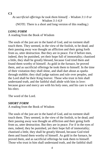#### **C3**

*As sacrificial offerings he took them himself. - Wisdom 3:1-9 or Wisdom 3:1-6,9*

(NOTE: There is a short and long version of this reading.)

#### *LONG FORM*

A reading from the Book of Wisdom

The souls of the just are in the hand of God, and no torment shall touch them. They seemed, in the view of the foolish, to be dead; and their passing away was thought an affliction and their going forth from us, utter destruction. But they are in peace. For if before men, indeed, they be punished, yet their hope full of immortality; chastised a little, they shall be greatly blessed, because God tried them and found them worthy of himself. As gold in the furnace, he proved them, and as sacrificial offerings he took them to himself. In the time of their visitation they shall shine, and shall dart about as sparks through stubble; they shall judge nations and rule over peoples, and the Lord shall be their King forever. Those who trust in him shall understand truth, and the faithful shall abide with him in love: because grace and mercy are with his holy ones, and his care is with his elect.

The word of the Lord.

#### *SHORT FORM*

A reading from the Book of Wisdom

The souls of the just are in the hand of God, and no torment shall touch them. They seemed, in the view of the foolish, to be dead; and their passing away was thought an affliction and their going forth from us, utter destruction. But they are in peace. For if in the eyes of men, indeed, they be punished, yet their hope full of immortality; chastised a little, they shall be greatly blessed, because God tried them and found them worthy of himself. As gold in the furnace, he proved them, and as sacrificial offerings he took them to himself. Those who trust in him shall understand truth, and the faithful shall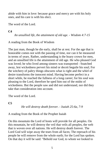abide with him in love: because grace and mercy are with his holy ones, and his care is with his elect.

The word of the Lord.

**C4**

*An unsullied life, the attainment of old age. - Wisdom 4:7-15*

A reading from the Book of Wisdom

The just man, though he die early, shall be at rest. For the age that is honorable comes not with the passing of time, nor can it be measured in terms of years. Rather, understanding is the hoary crown for men, and an unsullied life is the attainment of old age. He who pleased God was loved; he who lived among sinners was transported - Snatched away, lest wickedness pervert his mind or deceit beguile his soul; For the witchery of paltry things obscures what is right and the whirl of desire transforms the innocent mind. Having become perfect in a short while, he reached the fullness of a long career; for his soul was pleasing to the Lord, therefore he sped him out of the midst of wickedness. But the people saw and did not understand, nor did they take that consideration into account.

The word of the Lord.

**C5**

*He will destroy death forever. - Isaiah 25:6a, 7-9*

A reading from the Book of the Prophet Isaiah

On this mountain the Lord of hosts will provide for all peoples. On this mountain, he will destroy the veil that veils all peoples, the web that is woven over all nations. He will destroy death forever. The Lord God will wipe away the tears from all faces; The reproach of his people he will remove from the whole earth; for the Lord has spoken. On that day it will be said: "Behold our God, to whom we looked to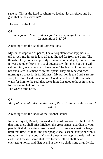save us! This is the Lord to whom we looked; let us rejoice and be glad that he has saved us!"

The word of the Lord.

**C6**

*It is good to hope in silence for the saving help of the Lord. - Lamentations 3:17-26*

A reading from the Book of Lamentations

My soul is deprived of peace, I have forgotten what happiness is; I tell myself my future is lost, all that I hoped for from the Lord. The thought of my homeless poverty is wormwood and gall; remembering it over and over, leaves my soul downcast within me. But this I will call to mind, as my reason to have hope: The favors of the Lord are not exhausted, his mercies are not spent; They are renewed each morning, so great is his faithfulness. My portion is the Lord, says my soul; therefore I will hope in him. Good is the Lord to the one who waits for him, to the soul that seeks him; It is good to hope in silence for the saving help of the Lord.

The word of the Lord.

#### **C7** *Many of those who sleep in the dust of the earth shall awake. - Daniel 12:1-3*

A reading from the Book of the Prophet Daniel

In those days, I, Daniel, mourned and heard this word of the Lord: At that time there shall arise Michael, the great prince, guardian of your people; It shall be a time unsurpassed in distress since nations began until that time. At that time your people shall escape, everyone who is found written in the book. Many of those who sleep in the dust of the earth shall awake; some shall live forever, others shall be an everlasting horror and disgrace. But the wise shall shine brightly like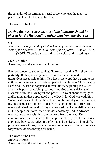the splendor of the firmament, And those who lead the many to justice shall be like the stars forever.

The word of the Lord.

*During the Easter Season, one of the following should be chosen for the first reading rather than from the above list.*

### **C8**

*He is the one appointed by God as judge of the living and the dead. - Acts of the Apostles 10:34-43 or Acts of the Apostles 10:34-36, 42-43* (NOTE: There is a short and long version of this reading.)

### *LONG FORM*

A reading from the Acts of the Apostles

Peter proceeded to speak, saying: "In truth, I see that God shows no partiality. Rather, in every nation whoever fears him and acts uprightly is acceptable to him. You know the word that he sent to the children of Israel as he proclaimed peace through Jesus Christ, who is Lord of all, what has happened allover Judea, beginning in Galilee after the baptism that John preached, how God anointed Jesus of Nazareth with the Holy Spirit and power. He went about doing good and healing all those oppressed by the Devil, for God was with him. We are witnesses of all that he did both in the country of the Jews and in Jerusalem. They put him to death by hanging him on a tree. This man God raised on the third day and granted that he be visible, not to all the people, but to us, the witnesses chosen by God in advance, who ate and drank with him after he rose from the dead. He commissioned us to preach to the people and testify that he is the one appointed by God as judge of the living and the dead. To him all the prophets bear witness, that everyone who believes in him will receive forgiveness of sins through his name."

The word of the Lord. *SHORT FORM*  A reading from the Acts of the Apostles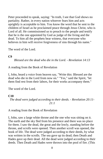Peter proceeded to speak, saying: "In truth, I see that God shows no partiality. Rather, in every nation whoever fears him and acts uprightly is acceptable to him. You know the word that he sent to the children of Israel as he proclaimed peace through Jesus Christ, who is Lord of all. He commissioned us to preach to the people and testify that he is the one appointed by God as judge of the living and the dead. To him all the prophets bear witness, that everyone who believes in him will receive forgiveness of sins through his name."

The word of the Lord.

**C9**

*Blessed are the dead who die in the Lord. - Revelation 14:13*

A reading from the Book of Revelation

I, John, heard a voice from heaven say, "Write this: Blessed are the dead who die in the Lord from now on." "Yes," said the Spirit, "let them find rest from their labors, for their works accompany them."

The word of the Lord.

#### **C10**

*The dead were judged according to their deeds. - Revelation 20:11- 21:1*

A reading from the Book of Revelation

I, John, saw a large white throne and the one who was sitting on it. The earth and the sky fled from his presence and there was no place for them. I saw the dead, the great and the lowly, standing before the throne, and scrolls were opened. Then another scroll was opened, the book of life. The dead were judged according to their deeds, by what was written in the scrolls. The sea gave up its dead; then Death and Hades gave up their dead. All the dead were judged according to their deeds. Then Death and Hades were thrown into the pool of fire. (This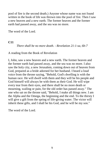pool of fire is the second death.) Anyone whose name was not found written in the book of life was thrown into the pool of fire. Then I saw a new heaven and a new earth. The former heaven and the former earth had passed away, and the sea was no more.

The word of the Lord.

## **C11**

*There shall be no more death. - Revelation 21:1-sa, 6b-7*

A reading from the Book of Revelation

I, John, saw a new heaven and a new earth. The former heaven and the former earth had passed away, and the sea was no more. I also saw the holy city, a new Jerusalem, coming down out of heaven from God, prepared as a bride adorned for her husband. I heard a loud voice from the throne saying, "Behold, God's dwelling is with the human race. He will dwell with them and they will be his people and God himself will always be with them as their God. He will wipe every tear from their eyes, and there shall be no more death or mourning, wailing or pain, for the old order has passed away." The one who sat on the throne said, "Behold, I make all things new. I am the Alpha and the Omega, the beginning and the end. To the thirsty I will give a gift from the spring of life-giving water. The victor will inherit these gifts, and I shall be his God, and he will be my son."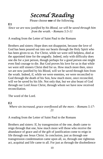*Second Reading* 

Please choose **one** of the following.

**E1**

*Since we are now justified by his Blood, we will be saved through him from the wrath. - Romans 5:5-11*

#### A reading from the Letter of Saint Paul to the Romans

Brothers and sisters: Hope does not disappoint, because the love of God has been poured out into our hearts through the Holy Spirit who has been given to us. For Christ, while we were still helpless, died at the appointed time for the ungodly. Indeed, only with difficulty does one die for a just person, though perhaps for a good person one might even find courage to die. But God proves his love for us in that while we were still sinners Christ died for us. How much more then, since we are now justified by his Blood, will we be saved through him from the wrath. Indeed, if, while we were enemies, we were reconciled to God through the death of his Son, how much more, once reconciled, will we be saved by his life. Not only that, but we also boast of God through our Lord Jesus Christ, through whom we have now received reconciliation.

The word of the Lord.

#### **E2**

*Where sin increased, grace overflowed all the more. - Romans 5:17- 21*

A reading from the Letter of Saint Paul to the Romans

Brothers and sisters: If, by transgression of the one, death came to reign through that one, how much more will those who receive the abundance of grace and of the gift of justification come to reign in life through one Jesus Christ. In conclusion, just as through one transgression condemnation came upon all, so, through one righteous act, acquittal and life came to all. For just as through the disobedience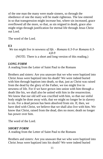of the one man the many were made sinners, so through the obedience of one the many will be made righteous. The law entered in so that transgression might increase but, where sin increased, grace overflowed all the more, so that, as sin reigned in death, grace also might reign through justification for eternal life through Jesus Christ out Lord.

The word of the Lord.

### **E3**

*We too might live in newness of life. - Romans 6:3-9 or Romans 6:3- 4,8-9*

(NOTE: There is a short and long version of this reading.)

### *LONG FORM*

A reading from the Letter of Saint Paul to the Romans

Brothers and sisters: Are you unaware that we who were baptized into Christ Jesus were baptized into his death? We were indeed buried with him through baptism into death, so that, just as Christ was raised from the dead by the glory of the Father, we too might live in newness of life. For if we have grown into union with him through a death like his, we shall also be united with him in the resurrection. We know that our old self was crucified with him, so that our sinful body might be done away with, that we might no longer be in slavery to sin. For a dead person has been absolved from sin. If, then, we have died with Christ, we believe that we shall also live with him. We know that Christ, raised from the dead, dies no more; death no longer has power over him.

The word of the Lord.

### *SHORT FORM*

A reading from the Letter of Saint Paul to the Romans

Brothers and sisters: Are you unaware that we who were baptized into Christ Jesus were baptized into his death? We were indeed buried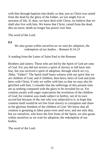with him through baptism into death, so that, just as Christ was raised from the dead by the glory of the Father, we too might live in newness of life. If, then, we have died with Christ, we believe that we shall also live with him. We know that Christ, raised from the dead, dies no more; death no longer has power over him.

The word of the Lord.

**E4**

*We also groan within ourselves as we wait for adoption, the redemption of our bodies. - Romans 8:14-23*

A reading from the Letter of Saint Paul to the Romans

Brothers and sisters: Those who are led by the Spirit of God are sons of God. For you did not receive a spirit of slavery to fall back into fear, but you received a spirit of adoption, through which we cry, Abba, "Father!" The Spirit itself bears witness with our spirit that we are children of God, and if children, then heirs, heirs of God and joint heirs with Christ, if only we suffer with him so that we may also be glorified with him. I consider that the sufferings of this present time are as nothing compared with the glory to be revealed for us. For creation awaits with eager expectation the revelation of the children of God; for creation was made subject to futility, not of its own accord but because of the one who was subjected to it, in hope that creation itself would be set free from slavery to corruption and share in the glorious freedom of the children of God. We know that all creation is groaning in labor pains even until now; and not only that, but we ourselves, who have the first fruits of the Spirit, we also groan within ourselves as we wait for adoption, the redemption of our bodies.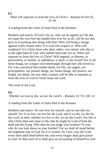### *What will separate us from the love of Christ? - Romans 8:31b-35, 37-39*

A reading from the Letter of Saint Paul to the Romans

Brothers and sisters: If God is for us, who can be against us? He did not spare his own Son but handed him over for us all, will he not also give us everything else along with him? Who will bring a charge against God's chosen ones? It is God who acquits us. Who will condemn? It is Christ Jesus who died, rather, was raised, who also is at the right hand of God, who indeed intercedes for us. What will separate us from the love of Christ? Will anguish, or distress, or persecution, or famine, or nakedness, or peril, or the sword? No, in all these things, we conquer overwhelmingly through him who loved us. For I am convinced that neither death, nor life, nor angels, nor principalities, nor present things, nor future things, nor powers, nor height, nor depth, nor any other creature will be able to separate us from the love of God in Christ Jesus our Lord.

The word of the Lord.

#### **E6**

*Whether we love or die, we are the Lord's. - Romans 14:7-9, 10C-12*

A reading from the Letter of Saint Paul to the Romans

Brothers and sisters: No one lives for oneself, and no one dies for oneself. For if we live, we live for the Lord, and if we die, we die for the Lord; so then, whether we live or die, we are the Lord's. For this is why Christ died and came to life, that he might be Lord of both the dead and the living. Why then do you judge your brother? Or you, why do you look down on your brother? For we shall all stand before the judgment seat of God; for it is written: As I live, says the Lord, every knee shall bend before me, and every tongue shall give praise to God. So then each of us shall give an accounting of himself to God.

13

**E5**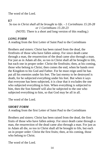The word of the Lord.

**E7**

*So too in Christ shall all be brought to life. - 1 Corinthians 15:20-28 or 1 Corinthians 15:20-23* (NOTE: There is a short and long version of this reading.)

### *LONG FORM*

A reading from the first Letter of Saint Paul to the Corinthians

Brothers and sisters: Christ has been raised from the dead, the firstfruits of those who have fallen asleep. For since death came through a man, the resurrection of the dead came also through a man. For just as in Adam all die, so too in Christ shall all be brought to life, but each one in proper order: Christ the firstfruits; then, at his coming, those who belong to Christ; then comes the end, when he hands over the Kingdom to his God and Father. For he must reign until he has put all his enemies under his feet. The last enemy to be destroyed is death, for he subjected everything under his feet. But when it says that everyone has been subjected, it is clear that it excludes the one who subjected everything to him. When everything is subjected to him, then the Son himself will also be subjected to the one who subjected everything to him, so that God may be all in all.

The word of the Lord.

### *SHORT FORM*

A reading from the first Letter of Saint Paul to the Corinthians

Brothers and sisters: Christ has been raised from the dead, the first fruits of those who have fallen asleep. For since death came through a man, the resurrection of the dead came also through a man. For just as in Adam all die, so too in Christ shall all be brought to life, but each on in proper order: Christ the first fruits; then, at his coming, those who belong to Christ.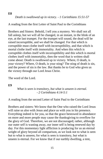*Death is swallowed up in victory. - 1 Corinthians 15:51-57*

#### A reading from the first Letter of Saint Paul to the Corinthians

Brothers and Sisters: Behold, I tell you a mystery. We shall not all fall asleep, but we will all be changed, in an instant, in the blink of an eye, at the last trumpet. For the trumpet will sound, the dead will be raised incorruptible, and we shall be changed. For that which is corruptible must clothe itself with incorruptibility, and that which is mortal clothe itself with immortality. And when this which is corruptible clothes itself with incorruptibility and this which is mortal clothes itself with immortality, then the word that is written shall come about: Death is swallowed up in victory. Where, O death, is your victory? Where, O death, is your sting? The sting of death is sin, and the power of sin is the law. But thanks be to God who gives us the victory through our Lord Jesus Christ.

The word of the Lord.

**E9**

**E8**

#### *What is seen is transitory, but what is unseen is eternal. - 2 Corinthians 4:14-5:1*

A reading from the second Letter of Saint Paul to the Corinthians

Brothers and sisters: We know that the One who raised the Lord Jesus will raise us also with Jesus and place us with you in his presence. Everything indeed is for you, so that the grace bestowed in abundance on more and more people may cause the thanksgiving to overflow for the glory of God. Therefore, we are not discouraged; rather, although our outer self is wasting away, our inner self is being renewed day by day. For this momentary light affliction is producing for us an eternal weight of glory beyond all comparison, as we look not to what is seen but to what is unseen; for what is seen is transitory, but what is unseen is eternal. For we know that if our earthly dwelling, a tent,

15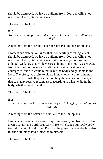should be destroyed, we have a building from God, a dwelling not made with hands, eternal in heaven.

The word of the Lord.

### **E10**

*We have a building from God, eternal in heaven. - 2 Corinthians 5:1, 6-10*

A reading from the second Letter of Saint Paul to the Corinthians

Brothers and sisters: We know that if our earthly dwelling, a tent, should be destroyed, we have a building from God, a dwelling not made with hands, eternal in heaven. We are always courageous, although we know that while we are at home in the body we are away from the Lord, for we walk by faith, not by sight. Yet we are courageous, and we would rather leave the body and go home to the Lord. Therefore, we aspire to please him, whether we are at home or away. For we must all appear before the judgment seat of Christ, so that each may receive recompense, according to what he did in the body, whether good or evil.

The word of the Lord.

### **E11**

*He will change our lowly bodies to conform to his glory. - Philippians 3:20- 21*

A reading from the Letter of Saint Paul to the Philippians

Brothers and sisters: Our citizenship is in heaven, and from it we also await a savior, the Lord Jesus Christ. He will change our lowly body to conform with his glorified Body by the power that enables him also to bring all things into subjection to himself.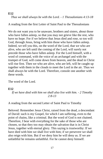#### **E12** *Thus we shall always be with the Lord. - 1 Thessalonians 4:13-18*

A reading from the first Letter of Saint Paul to the Thessalonians

We do not want you to be unaware, brothers and sisters, about those who have fallen asleep, so that you may not grieve like the rest, who have no hope. For if we believe that Jesus died and rose, so too will God, through Jesus, bring with him those who have fallen asleep. Indeed, we tell you this, on the word of the Lord, that we who are alive, who are left until the coming of the Lord, will surely not precede those who have fallen asleep. For the Lord himself, with a word of command, with the voice of an archangel and with the trumpet of God, will come down from heaven, and the dead in Christ will rise first. Then we who are alive, who are left, will be caught up together with them in the clouds to meet the Lord in the air. Thus we shall always be with the Lord. Therefore, console one another with these words.

The word of the Lord.

### **E12**

*If we have died with him we shall also live with him. - 2 Timothy 2:8-13*

A reading from the second Letter of Saint Paul to Timothy

Beloved: Remember Jesus Christ, raised from the dead, a descendant of David: such is my Gospel, for which I am suffering, even to the point of chains, like a criminal. But the word of God is not chained. Therefore, I bear with everything for the sake of those who are chosen, so that they too may obtain the salvation that is in Christ Jesus, together with eternal glory. This saying is trustworthy: If we have died with him we shall live with him; if we persevere we shall also reign with him. But if we deny him he will deny us. If we are unfaithful he remains unfaithful. For he cannot deny himself.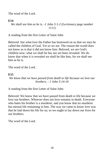The word of the Lord.

### **E14**

*We shall see him as he is. -1 John 3:1-2 (Lectionary page number 1111)*

A reading from the first Letter of Saint John

Beloved: See what love the Father has bestowed on us that we may be called the children of God. Yet so we are. The reason the world does not know us is that it did not know him. Beloved, we are God's children now; what we shall be has not yet been revealed. We do know that when it is revealed we shall be like him, for we shall see him as he is.

The word of the Lord.

### **E15**

*We know that we have passed from death to life because we love our brothers. - 1 John 3:14-16*

A reading from the first Letter of Saint John

Beloved: We know that we have passed from death to life because we love our brothers. Whoever does not love remains in death. Everyone who hates his brother is a murderer, and you know that no murderer has eternal life remaining in him. The way we came to know love was that he laid down his life for us; so we ought to lay down our lives for our brothers.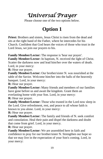# *Universal Prayer*

Please choose one of the two options below.

# **Option 1**

**Priest:** Brothers and sisters, Jesus Christ is risen from the dead and sits at the right hand of the Father, where he intercedes for his Church. Confident that God hears the voices of those who trust in the Lord Jesus, we join our prayers to his.

**Family Member/Lector:** The response is 'hear our prayer'.

**Family Member/Lector:** In baptism, N. received the light of Christ. Scatter the darkness now and lead him/her over the waters of death. Lord, in your mercy:

**R:** Hear our prayer.

**Family Member/Lector:** Our brother/sister N. was nourished at the table of the Savior. Welcome him/her into the halls of the heavenly banquet. Lord, in your mercy:

**R:** Hear our prayer.

**Family Member/Lector:** Many friends and members of our families have gone before us and await the kingdom. Grant them an everlasting home with your Son. Lord, in your mercy:

**R:** Hear our prayer.

**Family Member/Lector:** Those who trusted in the Lord now sleep in the Lord. Give refreshment, rest, and peace to all whose faith is known to you alone. Lord, in your mercy:

**R:** Hear our prayer.

**Family Member/Lector:** The family and friends of N. seek comfort and consolation. Heal their pain and dispel the darkness and doubt that come from grief. Lord, in your mercy.

**R:** Hear our prayer.

**Family Member/Lector:** We are assembled here in faith and confidence to pray for our brother/sister N. Strengthen our hope so that we may live in the expectation of your Son's coming. Lord, in your mercy: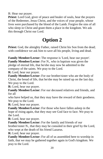R: Hear our prayer.

**Priest:** Lord God, giver of peace and healer of souls, hear the prayers of the Redeemer, Jesus Christ, and the voices of your people, whose lives were purchased by the blood of the Lamb. Forgive the sins of all who sleep in Christ and grant them a place in the kingdom. We ask this through Christ our Lord.

# **Option 2**

**Priest:** God, the almighty Father, raised Christ his Son from the dead; with confidence we ask him to save all his people, living and dead.

**Family Member/Lector:** The response is 'Lord, hear our prayer'. **Family Member/Lector:** For N., who in baptism was given the pledge of eternal life, that he/she may now be admitted to the company of the saints. We pray to the Lord.

**R:** Lord, hear our prayer.

**Family Member/Lector:** For our brother/sister who ate the body of Christ, the bread of life, that he/she may be raised up on the last day. We pray to the Lord.

**R:** Lord, hear our prayer.

**Family Member/Lector:** For our deceased relatives and friends, and for all

who have helped us, that they may have the reward of their goodness. We pray to the Lord.

**R:** Lord, hear our prayer.

**Family Member/Lector:** For those who have fallen asleep in the hope of rising again, that they may see God face to face. We pray to the Lord.

**R:** Lord, hear our prayer.

**Family Member/Lector:** For the family and friends of our brother/sister N., that they may be consoled in their grief by the Lord, who wept at the death of his friend Lazarus.

**R:** Lord, hear our prayer.

**Family Member/Lector:** For all of us assembled here to worship in faith, that we may be gathered together again in God's kingdom. We pray to the Lord.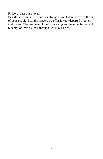**R:** Lord, hear our prayer.

**Priest:** God, our shelter and our strength, you listen in love to the cry of your people: hear the prayers we offer for our departed brothers and sisters. Cleanse them of their sins and grant them the fullness of redemption. We ask this through Christ our Lord.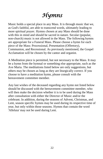# *Hymns*

Music holds a special place in any Mass. It is through music that we, as God's faithful, are able to transcend words, ultimately leading to more spiritual prayer. Hymns chosen at any Mass should be done with this in mind and should be sacred in nature. Secular (popular, non-church) music is not allowed in the Mass. The following hymns are appropriate for a Funeral Mass. Please choose a hymn for each piece of the Mass: Processional, Presentation (Offertory), Communion, and Recessional. As previously mentioned, the Gospel Acclamation will be chosen by the cantor and organist.

A Meditation piece is permitted, but not necessary to the Mass. It may be a hymn from the hymnal or something else appropriate, such as the Ave Maria. The meditations listed below are only suggestions, but others may be chosen as long as they are liturgically correct. If you choose to have a meditation hymn, please consult with the bereavement committee member.

Any last wishes of the deceased regarding any hymn not listed below should be discussed with the bereavement committee member, who will then make the decision whether it is to be used during the Mass after consultation with either the Director of Music and/or the celebrant. In addition, during the seasons of Advent, Christmas, and Lent, season specific hymns may be used during its respective time of year, but only within those seasons. Hymns that contain the word 'Alleluia' may not be used during Lent.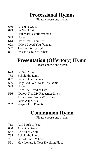# **Processional Hymns**

Please choose one hymn.

- 680 Amazing Grace
- 673 Be Not Afraid
- 481 Hail Mary, Gentle Woman
- 529 Hosea
- 614 How Great Thou Art
- 623 I Have Loved You (Joncas)<br>557 The Lord is my Light
- The Lord is my Light
- 801 **Unless a Grain of Wheat**

# **Presentation (Offertory) Hymn**

Please choose one hymn.

- 673 Be Not Afraid
- 785 Behold the Lamb
- 667 Faith of Our Fathers
- 566 Holy God, We Praise Thy Name
- 529 Hosea I Am The Bread of Life
- 556 I Know That My Redeemer Lives Just a Closer Walk With Thee Panis Angelicus
- 702 Prayer of St. Francis

# **Communion Hymn**

Please choose one hymn.

- 713 All I I Ask of You
- 680 Amazing Grace
- 
- 547 Be Still My Soul<br>785 Behold the Lamb Behold the Lamb
- 791 Gift of Finest Wheat
- 551 How Lovely is Your Dwelling Place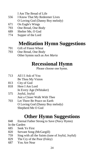I Am The Bread of Life

- 556 I Know That My Redeemer Lives O Loving God (Danny Boy melody)
- 671 On Eagle's Wings
- 793 One Bread, One Body
- 689 Shelter Me, O God
- 774 Supper of the Lord

# **Meditation Hymn Suggestions**

- 791 Gift of Finest Wheat
- 793 One Bread, One Body Other hymns such as *Ave Maria*

# **Recessional Hymn**

Please choose one hymn.

- 713 All I I Ask of You Be Thou My Vision
- 
- 813 City of God
- 818 Here I Am Lord In Every Age (Whitaker)
- 575 Joyful, Joyful Just a Closer Walk With Thee
- 703 Let There Be Peace on Earth O Loving God (Danny Boy melody) Shepherd Me O God

# **Other Hymn Suggestions**

848 Eternal Father Strong to Save (Navy Hymn)

In the Garden

- 685 Seek Ye First
- 820 Servant Song (McGargill)
- 759 Sing with all the Saints (tune of Joyful, Joyful)
- 829 The Cry of the Poor (Foley)
- 687 You Are Near